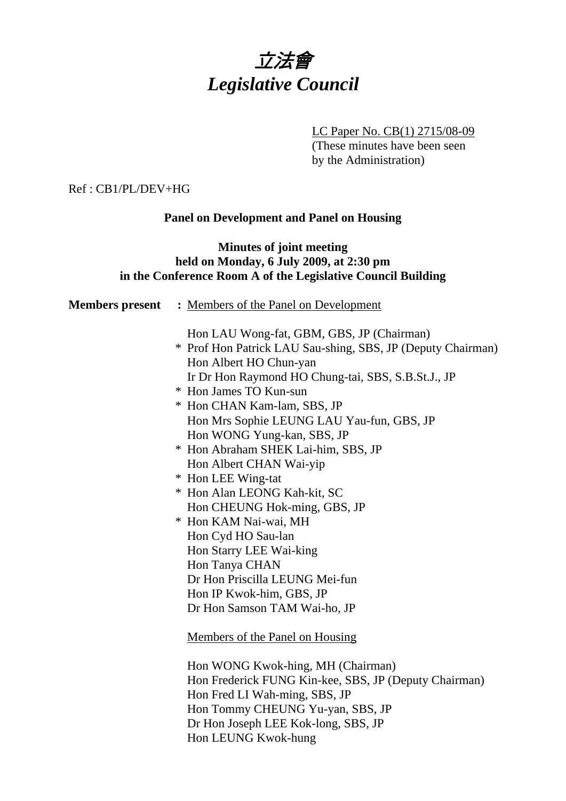

LC Paper No. CB(1) 2715/08-09

(These minutes have been seen by the Administration)

#### Ref : CB1/PL/DEV+HG

## **Panel on Development and Panel on Housing**

#### **Minutes of joint meeting held on Monday, 6 July 2009, at 2:30 pm in the Conference Room A of the Legislative Council Building**

| <b>Members present</b> : Members of the Panel on Development                                                                                                                             |  |
|------------------------------------------------------------------------------------------------------------------------------------------------------------------------------------------|--|
| Hon LAU Wong-fat, GBM, GBS, JP (Chairman)<br>* Prof Hon Patrick LAU Sau-shing, SBS, JP (Deputy Chairman)<br>Hon Albert HO Chun-yan<br>Ir Dr Hon Raymond HO Chung-tai, SBS, S.B.St.J., JP |  |
| * Hon James TO Kun-sun                                                                                                                                                                   |  |
| * Hon CHAN Kam-lam, SBS, JP                                                                                                                                                              |  |
| Hon Mrs Sophie LEUNG LAU Yau-fun, GBS, JP                                                                                                                                                |  |
| Hon WONG Yung-kan, SBS, JP                                                                                                                                                               |  |
| * Hon Abraham SHEK Lai-him, SBS, JP                                                                                                                                                      |  |
| Hon Albert CHAN Wai-yip                                                                                                                                                                  |  |
| * Hon LEE Wing-tat                                                                                                                                                                       |  |
| * Hon Alan LEONG Kah-kit, SC                                                                                                                                                             |  |
| Hon CHEUNG Hok-ming, GBS, JP                                                                                                                                                             |  |
| * Hon KAM Nai-wai, MH                                                                                                                                                                    |  |
| Hon Cyd HO Sau-lan                                                                                                                                                                       |  |
| Hon Starry LEE Wai-king                                                                                                                                                                  |  |
| Hon Tanya CHAN                                                                                                                                                                           |  |
| Dr Hon Priscilla LEUNG Mei-fun                                                                                                                                                           |  |
| Hon IP Kwok-him, GBS, JP                                                                                                                                                                 |  |
| Dr Hon Samson TAM Wai-ho, JP                                                                                                                                                             |  |
| Members of the Panel on Housing                                                                                                                                                          |  |
| Hon WONG Kwok-hing, MH (Chairman)                                                                                                                                                        |  |
| Hon Frederick FUNG Kin-kee, SBS, JP (Deputy Chairman)                                                                                                                                    |  |
| Hon Fred LI Wah-ming, SBS, JP                                                                                                                                                            |  |

Dr Hon Joseph LEE Kok-long, SBS, JP

Hon Tommy CHEUNG Yu-yan, SBS, JP

Hon LEUNG Kwok-hung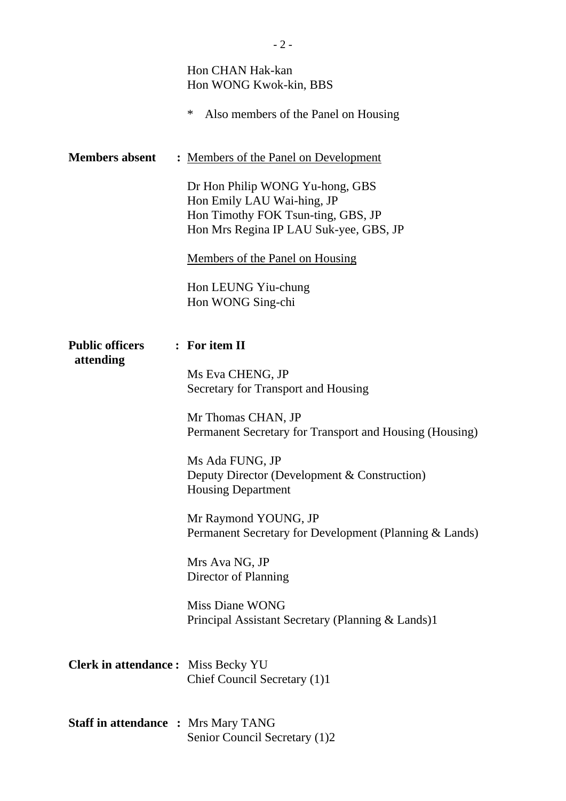|                                            | Hon CHAN Hak-kan<br>Hon WONG Kwok-kin, BBS<br>∗<br>Also members of the Panel on Housing                                                                                                                                                                                                                                                                                                                                                                              |
|--------------------------------------------|----------------------------------------------------------------------------------------------------------------------------------------------------------------------------------------------------------------------------------------------------------------------------------------------------------------------------------------------------------------------------------------------------------------------------------------------------------------------|
| <b>Members absent</b>                      | : Members of the Panel on Development<br>Dr Hon Philip WONG Yu-hong, GBS<br>Hon Emily LAU Wai-hing, JP<br>Hon Timothy FOK Tsun-ting, GBS, JP<br>Hon Mrs Regina IP LAU Suk-yee, GBS, JP<br>Members of the Panel on Housing<br>Hon LEUNG Yiu-chung<br>Hon WONG Sing-chi                                                                                                                                                                                                |
| <b>Public officers</b><br>attending        | : For item II<br>Ms Eva CHENG, JP<br>Secretary for Transport and Housing<br>Mr Thomas CHAN, JP<br>Permanent Secretary for Transport and Housing (Housing)<br>Ms Ada FUNG, JP<br>Deputy Director (Development & Construction)<br><b>Housing Department</b><br>Mr Raymond YOUNG, JP<br>Permanent Secretary for Development (Planning & Lands)<br>Mrs Ava NG, JP<br>Director of Planning<br><b>Miss Diane WONG</b><br>Principal Assistant Secretary (Planning & Lands)1 |
| <b>Clerk in attendance:</b> Miss Becky YU  | Chief Council Secretary (1)1                                                                                                                                                                                                                                                                                                                                                                                                                                         |
| <b>Staff in attendance : Mrs Mary TANG</b> | Senior Council Secretary (1)2                                                                                                                                                                                                                                                                                                                                                                                                                                        |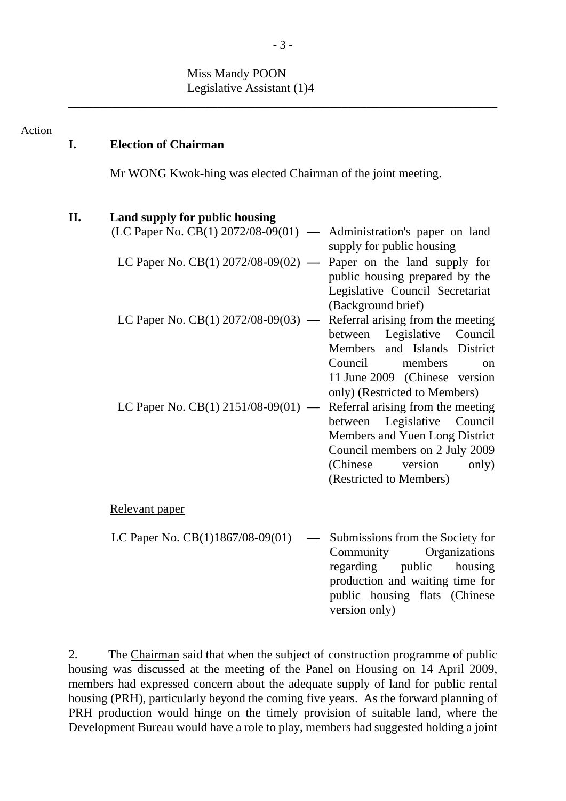## Miss Mandy POON Legislative Assistant (1)4

| <b>Action</b> | I.  | <b>Election of Chairman</b>                                                                                                                                                   |                                                                                                                                                                                                     |
|---------------|-----|-------------------------------------------------------------------------------------------------------------------------------------------------------------------------------|-----------------------------------------------------------------------------------------------------------------------------------------------------------------------------------------------------|
|               |     | Mr WONG Kwok-hing was elected Chairman of the joint meeting.                                                                                                                  |                                                                                                                                                                                                     |
|               | II. | Land supply for public housing<br>(LC Paper No. CB(1) $2072/08-09(01)$ — Administration's paper on land<br>LC Paper No. CB(1) $2072/08-09(02)$ — Paper on the land supply for | supply for public housing<br>public housing prepared by the<br>Legislative Council Secretariat                                                                                                      |
|               |     | LC Paper No. $CB(1)$ 2072/08-09(03) — Referral arising from the meeting                                                                                                       | (Background brief)<br>between Legislative Council<br>Members and Islands District<br>Council<br>members<br>on<br>11 June 2009 (Chinese version<br>only) (Restricted to Members)                     |
|               |     | LC Paper No. CB(1) 2151/08-09(01) —                                                                                                                                           | Referral arising from the meeting<br>Legislative Council<br>between<br>Members and Yuen Long District<br>Council members on 2 July 2009<br>(Chinese)<br>version<br>only)<br>(Restricted to Members) |
|               |     | Relevant paper                                                                                                                                                                |                                                                                                                                                                                                     |
|               |     | LC Paper No. $CB(1)1867/08-09(01)$                                                                                                                                            | Submissions from the Society for<br>Community<br>Organizations<br>regarding<br>public<br>housing<br>production and waiting time for<br>public housing flats (Chinese<br>version only)               |

2. The Chairman said that when the subject of construction programme of public housing was discussed at the meeting of the Panel on Housing on 14 April 2009, members had expressed concern about the adequate supply of land for public rental housing (PRH), particularly beyond the coming five years. As the forward planning of PRH production would hinge on the timely provision of suitable land, where the Development Bureau would have a role to play, members had suggested holding a joint

\_\_\_\_\_\_\_\_\_\_\_\_\_\_\_\_\_\_\_\_\_\_\_\_\_\_\_\_\_\_\_\_\_\_\_\_\_\_\_\_\_\_\_\_\_\_\_\_\_\_\_\_\_\_\_\_\_\_\_\_\_\_\_\_\_\_\_\_\_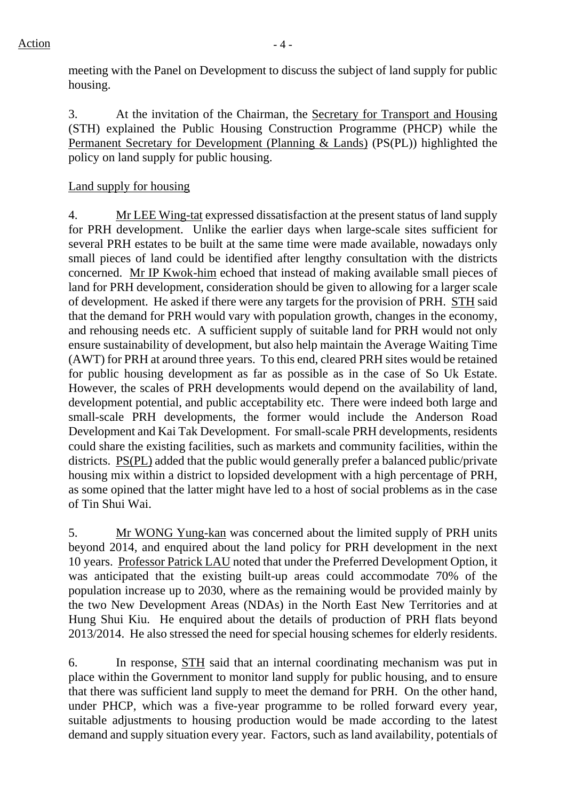meeting with the Panel on Development to discuss the subject of land supply for public housing.

3. At the invitation of the Chairman, the Secretary for Transport and Housing (STH) explained the Public Housing Construction Programme (PHCP) while the Permanent Secretary for Development (Planning & Lands) (PS(PL)) highlighted the policy on land supply for public housing.

# Land supply for housing

4. Mr LEE Wing-tat expressed dissatisfaction at the present status of land supply for PRH development. Unlike the earlier days when large-scale sites sufficient for several PRH estates to be built at the same time were made available, nowadays only small pieces of land could be identified after lengthy consultation with the districts concerned. Mr IP Kwok-him echoed that instead of making available small pieces of land for PRH development, consideration should be given to allowing for a larger scale of development. He asked if there were any targets for the provision of PRH. STH said that the demand for PRH would vary with population growth, changes in the economy, and rehousing needs etc. A sufficient supply of suitable land for PRH would not only ensure sustainability of development, but also help maintain the Average Waiting Time (AWT) for PRH at around three years. To this end, cleared PRH sites would be retained for public housing development as far as possible as in the case of So Uk Estate. However, the scales of PRH developments would depend on the availability of land, development potential, and public acceptability etc. There were indeed both large and small-scale PRH developments, the former would include the Anderson Road Development and Kai Tak Development. For small-scale PRH developments, residents could share the existing facilities, such as markets and community facilities, within the districts. PS(PL) added that the public would generally prefer a balanced public/private housing mix within a district to lopsided development with a high percentage of PRH, as some opined that the latter might have led to a host of social problems as in the case of Tin Shui Wai.

5. Mr WONG Yung-kan was concerned about the limited supply of PRH units beyond 2014, and enquired about the land policy for PRH development in the next 10 years. Professor Patrick LAU noted that under the Preferred Development Option, it was anticipated that the existing built-up areas could accommodate 70% of the population increase up to 2030, where as the remaining would be provided mainly by the two New Development Areas (NDAs) in the North East New Territories and at Hung Shui Kiu. He enquired about the details of production of PRH flats beyond 2013/2014. He also stressed the need for special housing schemes for elderly residents.

6. In response, STH said that an internal coordinating mechanism was put in place within the Government to monitor land supply for public housing, and to ensure that there was sufficient land supply to meet the demand for PRH. On the other hand, under PHCP, which was a five-year programme to be rolled forward every year, suitable adjustments to housing production would be made according to the latest demand and supply situation every year. Factors, such as land availability, potentials of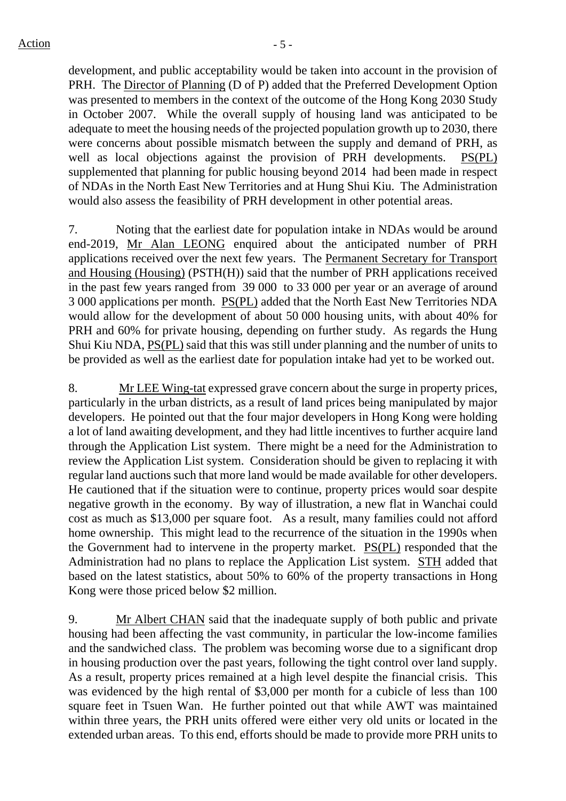development, and public acceptability would be taken into account in the provision of PRH. The Director of Planning (D of P) added that the Preferred Development Option was presented to members in the context of the outcome of the Hong Kong 2030 Study in October 2007. While the overall supply of housing land was anticipated to be adequate to meet the housing needs of the projected population growth up to 2030, there were concerns about possible mismatch between the supply and demand of PRH, as well as local objections against the provision of PRH developments. PS(PL) supplemented that planning for public housing beyond 2014 had been made in respect of NDAs in the North East New Territories and at Hung Shui Kiu. The Administration would also assess the feasibility of PRH development in other potential areas.

7. Noting that the earliest date for population intake in NDAs would be around end-2019, Mr Alan LEONG enquired about the anticipated number of PRH applications received over the next few years. The Permanent Secretary for Transport and Housing (Housing) (PSTH(H)) said that the number of PRH applications received in the past few years ranged from 39 000 to 33 000 per year or an average of around 3 000 applications per month. PS(PL) added that the North East New Territories NDA would allow for the development of about 50 000 housing units, with about 40% for PRH and 60% for private housing, depending on further study. As regards the Hung Shui Kiu NDA, PS(PL) said that this was still under planning and the number of units to be provided as well as the earliest date for population intake had yet to be worked out.

8. Mr LEE Wing-tat expressed grave concern about the surge in property prices, particularly in the urban districts, as a result of land prices being manipulated by major developers. He pointed out that the four major developers in Hong Kong were holding a lot of land awaiting development, and they had little incentives to further acquire land through the Application List system. There might be a need for the Administration to review the Application List system. Consideration should be given to replacing it with regular land auctions such that more land would be made available for other developers. He cautioned that if the situation were to continue, property prices would soar despite negative growth in the economy. By way of illustration, a new flat in Wanchai could cost as much as \$13,000 per square foot. As a result, many families could not afford home ownership. This might lead to the recurrence of the situation in the 1990s when the Government had to intervene in the property market. PS(PL) responded that the Administration had no plans to replace the Application List system. STH added that based on the latest statistics, about 50% to 60% of the property transactions in Hong Kong were those priced below \$2 million.

9. Mr Albert CHAN said that the inadequate supply of both public and private housing had been affecting the vast community, in particular the low-income families and the sandwiched class. The problem was becoming worse due to a significant drop in housing production over the past years, following the tight control over land supply. As a result, property prices remained at a high level despite the financial crisis. This was evidenced by the high rental of \$3,000 per month for a cubicle of less than 100 square feet in Tsuen Wan. He further pointed out that while AWT was maintained within three years, the PRH units offered were either very old units or located in the extended urban areas. To this end, efforts should be made to provide more PRH units to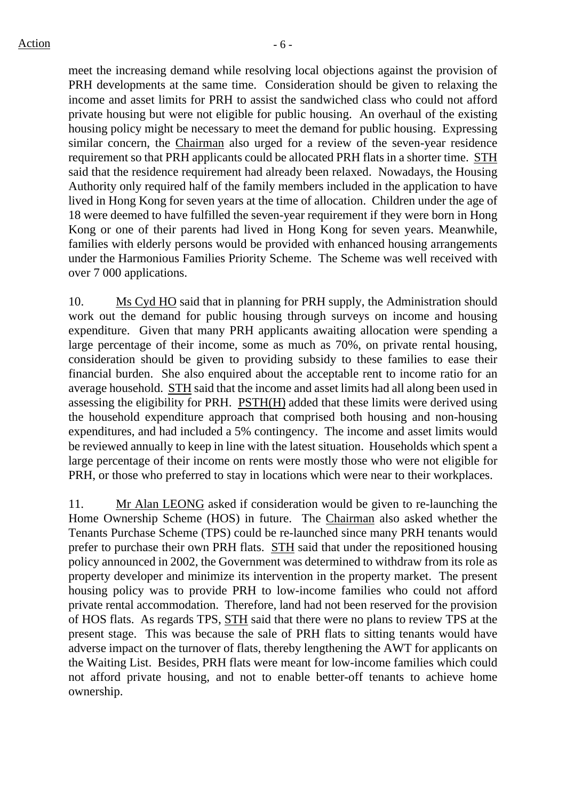meet the increasing demand while resolving local objections against the provision of PRH developments at the same time. Consideration should be given to relaxing the income and asset limits for PRH to assist the sandwiched class who could not afford private housing but were not eligible for public housing. An overhaul of the existing housing policy might be necessary to meet the demand for public housing. Expressing similar concern, the Chairman also urged for a review of the seven-year residence requirement so that PRH applicants could be allocated PRH flats in a shorter time. STH said that the residence requirement had already been relaxed. Nowadays, the Housing Authority only required half of the family members included in the application to have lived in Hong Kong for seven years at the time of allocation. Children under the age of 18 were deemed to have fulfilled the seven-year requirement if they were born in Hong Kong or one of their parents had lived in Hong Kong for seven years. Meanwhile, families with elderly persons would be provided with enhanced housing arrangements under the Harmonious Families Priority Scheme. The Scheme was well received with over 7 000 applications.

10. Ms Cyd HO said that in planning for PRH supply, the Administration should work out the demand for public housing through surveys on income and housing expenditure. Given that many PRH applicants awaiting allocation were spending a large percentage of their income, some as much as 70%, on private rental housing, consideration should be given to providing subsidy to these families to ease their financial burden. She also enquired about the acceptable rent to income ratio for an average household. STH said that the income and asset limits had all along been used in assessing the eligibility for PRH. PSTH(H) added that these limits were derived using the household expenditure approach that comprised both housing and non-housing expenditures, and had included a 5% contingency. The income and asset limits would be reviewed annually to keep in line with the latest situation. Households which spent a large percentage of their income on rents were mostly those who were not eligible for PRH, or those who preferred to stay in locations which were near to their workplaces.

11. Mr Alan LEONG asked if consideration would be given to re-launching the Home Ownership Scheme (HOS) in future. The Chairman also asked whether the Tenants Purchase Scheme (TPS) could be re-launched since many PRH tenants would prefer to purchase their own PRH flats. STH said that under the repositioned housing policy announced in 2002, the Government was determined to withdraw from its role as property developer and minimize its intervention in the property market. The present housing policy was to provide PRH to low-income families who could not afford private rental accommodation. Therefore, land had not been reserved for the provision of HOS flats. As regards TPS, STH said that there were no plans to review TPS at the present stage. This was because the sale of PRH flats to sitting tenants would have adverse impact on the turnover of flats, thereby lengthening the AWT for applicants on the Waiting List. Besides, PRH flats were meant for low-income families which could not afford private housing, and not to enable better-off tenants to achieve home ownership.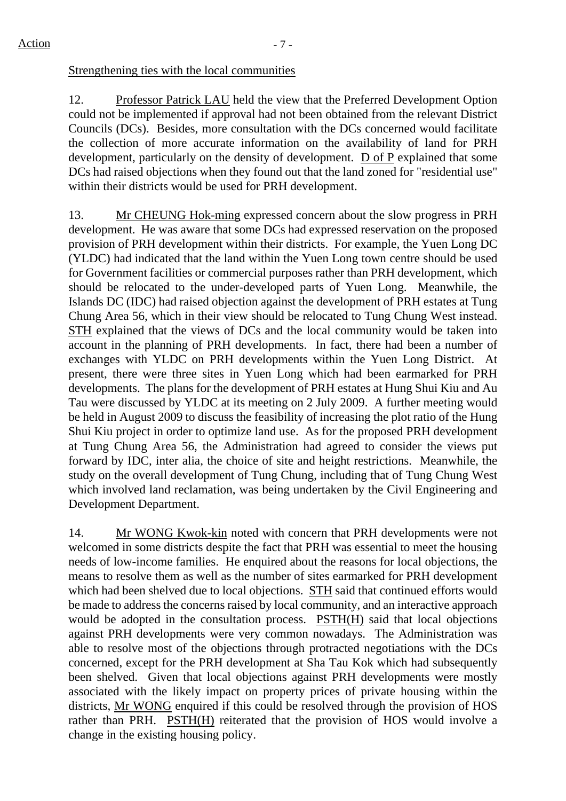# Strengthening ties with the local communities

12. Professor Patrick LAU held the view that the Preferred Development Option could not be implemented if approval had not been obtained from the relevant District Councils (DCs). Besides, more consultation with the DCs concerned would facilitate the collection of more accurate information on the availability of land for PRH development, particularly on the density of development. D of P explained that some DCs had raised objections when they found out that the land zoned for "residential use" within their districts would be used for PRH development.

13. Mr CHEUNG Hok-ming expressed concern about the slow progress in PRH development. He was aware that some DCs had expressed reservation on the proposed provision of PRH development within their districts. For example, the Yuen Long DC (YLDC) had indicated that the land within the Yuen Long town centre should be used for Government facilities or commercial purposes rather than PRH development, which should be relocated to the under-developed parts of Yuen Long. Meanwhile, the Islands DC (IDC) had raised objection against the development of PRH estates at Tung Chung Area 56, which in their view should be relocated to Tung Chung West instead. STH explained that the views of DCs and the local community would be taken into account in the planning of PRH developments. In fact, there had been a number of exchanges with YLDC on PRH developments within the Yuen Long District. At present, there were three sites in Yuen Long which had been earmarked for PRH developments. The plans for the development of PRH estates at Hung Shui Kiu and Au Tau were discussed by YLDC at its meeting on 2 July 2009. A further meeting would be held in August 2009 to discuss the feasibility of increasing the plot ratio of the Hung Shui Kiu project in order to optimize land use. As for the proposed PRH development at Tung Chung Area 56, the Administration had agreed to consider the views put forward by IDC, inter alia, the choice of site and height restrictions. Meanwhile, the study on the overall development of Tung Chung, including that of Tung Chung West which involved land reclamation, was being undertaken by the Civil Engineering and Development Department.

14. Mr WONG Kwok-kin noted with concern that PRH developments were not welcomed in some districts despite the fact that PRH was essential to meet the housing needs of low-income families. He enquired about the reasons for local objections, the means to resolve them as well as the number of sites earmarked for PRH development which had been shelved due to local objections. STH said that continued efforts would be made to address the concerns raised by local community, and an interactive approach would be adopted in the consultation process. PSTH(H) said that local objections against PRH developments were very common nowadays. The Administration was able to resolve most of the objections through protracted negotiations with the DCs concerned, except for the PRH development at Sha Tau Kok which had subsequently been shelved. Given that local objections against PRH developments were mostly associated with the likely impact on property prices of private housing within the districts, Mr WONG enquired if this could be resolved through the provision of HOS rather than PRH. PSTH(H) reiterated that the provision of HOS would involve a change in the existing housing policy.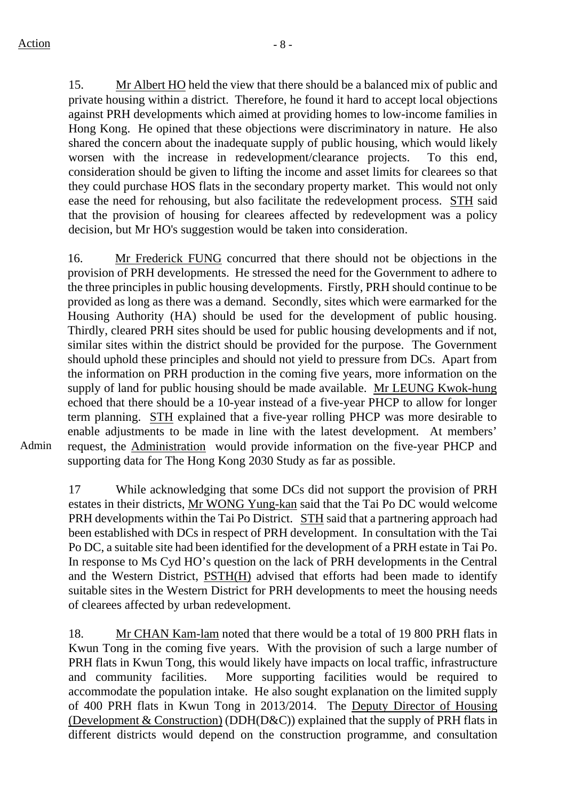15. Mr Albert HO held the view that there should be a balanced mix of public and private housing within a district. Therefore, he found it hard to accept local objections against PRH developments which aimed at providing homes to low-income families in Hong Kong. He opined that these objections were discriminatory in nature. He also shared the concern about the inadequate supply of public housing, which would likely worsen with the increase in redevelopment/clearance projects. To this end, consideration should be given to lifting the income and asset limits for clearees so that they could purchase HOS flats in the secondary property market. This would not only ease the need for rehousing, but also facilitate the redevelopment process. STH said that the provision of housing for clearees affected by redevelopment was a policy decision, but Mr HO's suggestion would be taken into consideration.

16. Mr Frederick FUNG concurred that there should not be objections in the provision of PRH developments. He stressed the need for the Government to adhere to the three principles in public housing developments. Firstly, PRH should continue to be provided as long as there was a demand. Secondly, sites which were earmarked for the Housing Authority (HA) should be used for the development of public housing. Thirdly, cleared PRH sites should be used for public housing developments and if not, similar sites within the district should be provided for the purpose. The Government should uphold these principles and should not yield to pressure from DCs. Apart from the information on PRH production in the coming five years, more information on the supply of land for public housing should be made available. Mr LEUNG Kwok-hung echoed that there should be a 10-year instead of a five-year PHCP to allow for longer term planning. STH explained that a five-year rolling PHCP was more desirable to enable adjustments to be made in line with the latest development. At members' request, the Administration would provide information on the five-year PHCP and supporting data for The Hong Kong 2030 Study as far as possible.

Admin

17 While acknowledging that some DCs did not support the provision of PRH estates in their districts, Mr WONG Yung-kan said that the Tai Po DC would welcome PRH developments within the Tai Po District. STH said that a partnering approach had been established with DCs in respect of PRH development. In consultation with the Tai Po DC, a suitable site had been identified for the development of a PRH estate in Tai Po. In response to Ms Cyd HO's question on the lack of PRH developments in the Central and the Western District, PSTH(H) advised that efforts had been made to identify suitable sites in the Western District for PRH developments to meet the housing needs of clearees affected by urban redevelopment.

18. Mr CHAN Kam-lam noted that there would be a total of 19 800 PRH flats in Kwun Tong in the coming five years. With the provision of such a large number of PRH flats in Kwun Tong, this would likely have impacts on local traffic, infrastructure and community facilities. More supporting facilities would be required to accommodate the population intake. He also sought explanation on the limited supply of 400 PRH flats in Kwun Tong in 2013/2014. The Deputy Director of Housing (Development & Construction) (DDH(D&C)) explained that the supply of PRH flats in different districts would depend on the construction programme, and consultation